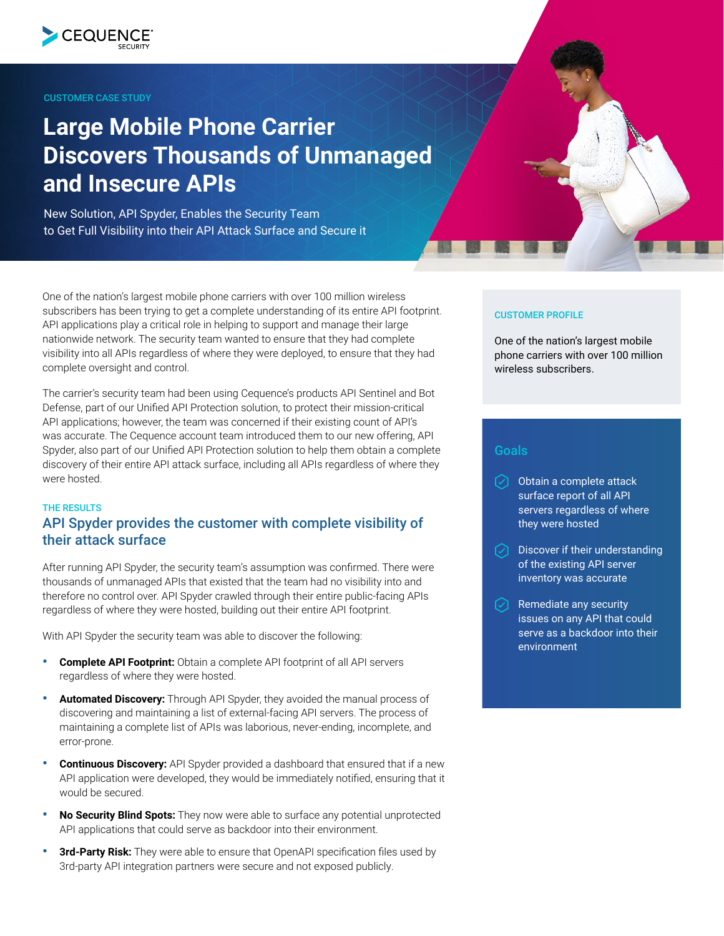

### CUSTOMER CASE STUDY

# **Large Mobile Phone Carrier Discovers Thousands of Unmanaged and Insecure APIs**

New Solution, API Spyder, Enables the Security Team to Get Full Visibility into their API Attack Surface and Secure it

One of the nation's largest mobile phone carriers with over 100 million wireless subscribers has been trying to get a complete understanding of its entire API footprint. API applications play a critical role in helping to support and manage their large nationwide network. The security team wanted to ensure that they had complete visibility into all APIs regardless of where they were deployed, to ensure that they had complete oversight and control.

The carrier's security team had been using Cequence's products API Sentinel and Bot Defense, part of our Unified API Protection solution, to protect their mission-critical API applications; however, the team was concerned if their existing count of API's was accurate. The Cequence account team introduced them to our new offering, API Spyder, also part of our Unified API Protection solution to help them obtain a complete discovery of their entire API attack surface, including all APIs regardless of where they were hosted.

## THE RESULTS

## API Spyder provides the customer with complete visibility of their attack surface

After running API Spyder, the security team's assumption was confirmed. There were thousands of unmanaged APIs that existed that the team had no visibility into and therefore no control over. API Spyder crawled through their entire public-facing APIs regardless of where they were hosted, building out their entire API footprint.

With API Spyder the security team was able to discover the following:

- **Complete API Footprint:** Obtain a complete API footprint of all API servers regardless of where they were hosted.
- **Automated Discovery:** Through API Spyder, they avoided the manual process of discovering and maintaining a list of external-facing API servers. The process of maintaining a complete list of APIs was laborious, never-ending, incomplete, and error-prone.
- **Continuous Discovery:** API Spyder provided a dashboard that ensured that if a new API application were developed, they would be immediately notified, ensuring that it would be secured.
- **No Security Blind Spots:** They now were able to surface any potential unprotected API applications that could serve as backdoor into their environment.
- **3rd-Party Risk:** They were able to ensure that OpenAPI specification files used by 3rd-party API integration partners were secure and not exposed publicly.

#### CUSTOMER PROFILE

One of the nation's largest mobile phone carriers with over 100 million wireless subscribers.

## **Goals**

- $\odot$  Obtain a complete attack surface report of all API servers regardless of where they were hosted
- $\oslash$  Discover if their understanding of the existing API server inventory was accurate
- Remediate any security issues on any API that could serve as a backdoor into their environment